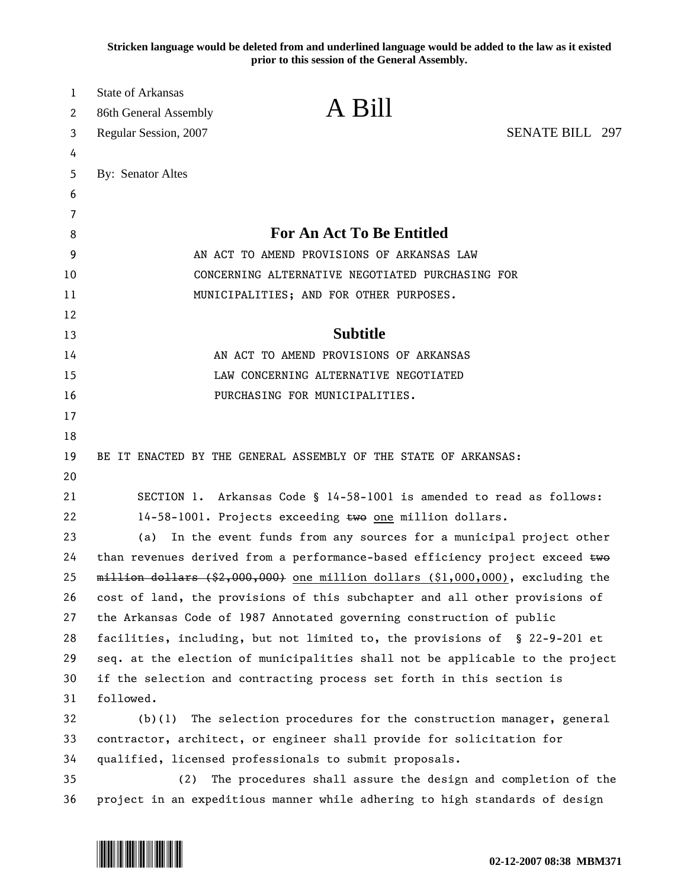**Stricken language would be deleted from and underlined language would be added to the law as it existed prior to this session of the General Assembly.**

| 1        | <b>State of Arkansas</b>                                                          |  |
|----------|-----------------------------------------------------------------------------------|--|
| 2        | A Bill<br>86th General Assembly                                                   |  |
| 3        | <b>SENATE BILL 297</b><br>Regular Session, 2007                                   |  |
| 4        |                                                                                   |  |
| 5        | By: Senator Altes                                                                 |  |
| 6        |                                                                                   |  |
| 7        |                                                                                   |  |
| 8        | <b>For An Act To Be Entitled</b>                                                  |  |
| 9        | AN ACT TO AMEND PROVISIONS OF ARKANSAS LAW                                        |  |
| 10       | CONCERNING ALTERNATIVE NEGOTIATED PURCHASING FOR                                  |  |
| 11       | MUNICIPALITIES; AND FOR OTHER PURPOSES.                                           |  |
| 12       | <b>Subtitle</b>                                                                   |  |
| 13       |                                                                                   |  |
| 14       | AN ACT TO AMEND PROVISIONS OF ARKANSAS                                            |  |
| 15<br>16 | LAW CONCERNING ALTERNATIVE NEGOTIATED<br>PURCHASING FOR MUNICIPALITIES.           |  |
| 17       |                                                                                   |  |
| 18       |                                                                                   |  |
| 19       | BE IT ENACTED BY THE GENERAL ASSEMBLY OF THE STATE OF ARKANSAS:                   |  |
| 20       |                                                                                   |  |
| 21       | SECTION 1. Arkansas Code § 14-58-1001 is amended to read as follows:              |  |
| 22       | 14-58-1001. Projects exceeding two one million dollars.                           |  |
| 23       | In the event funds from any sources for a municipal project other<br>(a)          |  |
| 24       | than revenues derived from a performance-based efficiency project exceed two      |  |
| 25       | $m$ illion dollars (\$2,000,000) one million dollars (\$1,000,000), excluding the |  |
| 26       | cost of land, the provisions of this subchapter and all other provisions of       |  |
| 27       | the Arkansas Code of 1987 Annotated governing construction of public              |  |
| 28       | facilities, including, but not limited to, the provisions of § 22-9-201 et        |  |
| 29       | seq. at the election of municipalities shall not be applicable to the project     |  |
| 30       | if the selection and contracting process set forth in this section is             |  |
| 31       | followed.                                                                         |  |
| 32       | $(b)(1)$ The selection procedures for the construction manager, general           |  |
| 33       | contractor, architect, or engineer shall provide for solicitation for             |  |
| 34       | qualified, licensed professionals to submit proposals.                            |  |
| 35       | The procedures shall assure the design and completion of the<br>(2)               |  |
| 36       | project in an expeditious manner while adhering to high standards of design       |  |

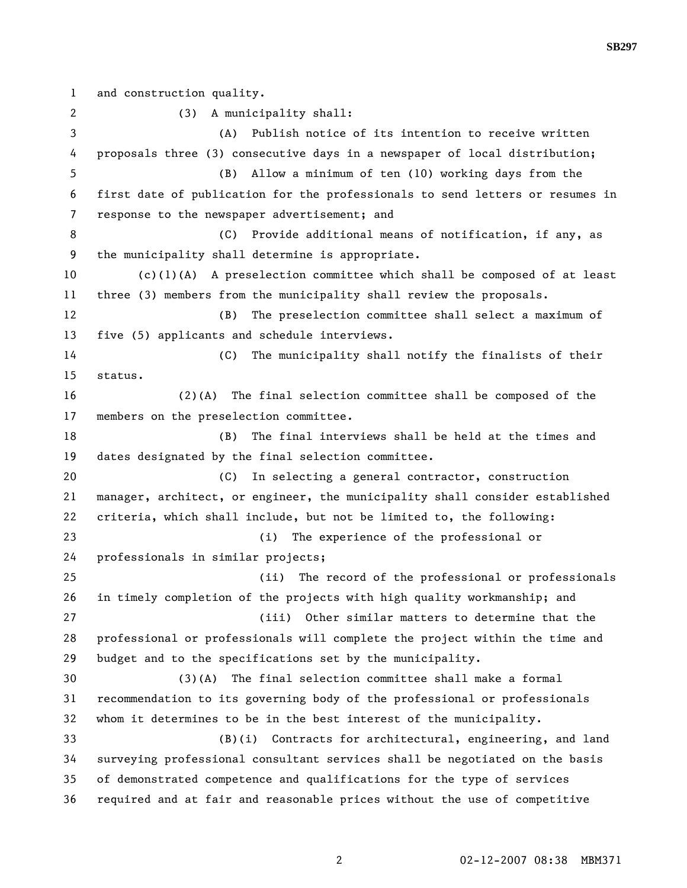1 and construction quality. 2 (3) A municipality shall: 3 (A) Publish notice of its intention to receive written 4 proposals three (3) consecutive days in a newspaper of local distribution; 5 (B) Allow a minimum of ten (10) working days from the 6 first date of publication for the professionals to send letters or resumes in 7 response to the newspaper advertisement; and 8 (C) Provide additional means of notification, if any, as 9 the municipality shall determine is appropriate. 10 (c)(1)(A) A preselection committee which shall be composed of at least 11 three (3) members from the municipality shall review the proposals. 12 (B) The preselection committee shall select a maximum of 13 five (5) applicants and schedule interviews. 14 (C) The municipality shall notify the finalists of their 15 status. 16 (2)(A) The final selection committee shall be composed of the 17 members on the preselection committee. 18 (B) The final interviews shall be held at the times and 19 dates designated by the final selection committee. 20 (C) In selecting a general contractor, construction 21 manager, architect, or engineer, the municipality shall consider established 22 criteria, which shall include, but not be limited to, the following: 23 (i) The experience of the professional or 24 professionals in similar projects; 25 (ii) The record of the professional or professionals 26 in timely completion of the projects with high quality workmanship; and 27 (iii) Other similar matters to determine that the 28 professional or professionals will complete the project within the time and 29 budget and to the specifications set by the municipality. 30 (3)(A) The final selection committee shall make a formal 31 recommendation to its governing body of the professional or professionals 32 whom it determines to be in the best interest of the municipality. 33 (B)(i) Contracts for architectural, engineering, and land 34 surveying professional consultant services shall be negotiated on the basis 35 of demonstrated competence and qualifications for the type of services 36 required and at fair and reasonable prices without the use of competitive

**SB297**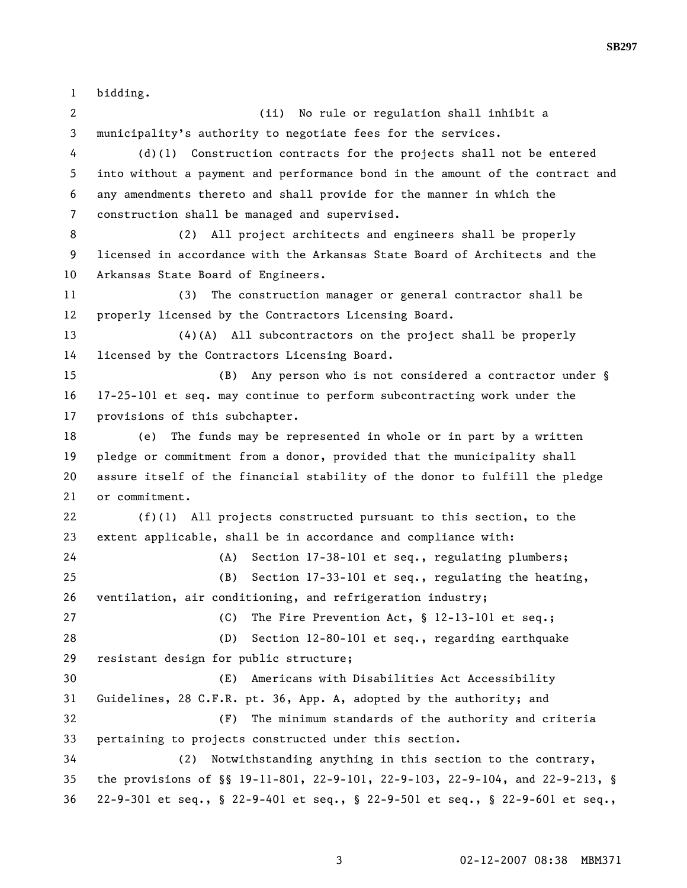1 bidding.

2 (ii) No rule or regulation shall inhibit a 3 municipality's authority to negotiate fees for the services. 4 (d)(1) Construction contracts for the projects shall not be entered 5 into without a payment and performance bond in the amount of the contract and 6 any amendments thereto and shall provide for the manner in which the 7 construction shall be managed and supervised. 8 (2) All project architects and engineers shall be properly 9 licensed in accordance with the Arkansas State Board of Architects and the 10 Arkansas State Board of Engineers. 11 (3) The construction manager or general contractor shall be 12 properly licensed by the Contractors Licensing Board. 13 (4)(A) All subcontractors on the project shall be properly 14 licensed by the Contractors Licensing Board. 15 (B) Any person who is not considered a contractor under § 16 17-25-101 et seq. may continue to perform subcontracting work under the 17 provisions of this subchapter. 18 (e) The funds may be represented in whole or in part by a written 19 pledge or commitment from a donor, provided that the municipality shall 20 assure itself of the financial stability of the donor to fulfill the pledge 21 or commitment. 22 (f)(1) All projects constructed pursuant to this section, to the 23 extent applicable, shall be in accordance and compliance with: 24 (A) Section 17-38-101 et seq., regulating plumbers; 25 (B) Section 17-33-101 et seq., regulating the heating, 26 ventilation, air conditioning, and refrigeration industry; 27 (C) The Fire Prevention Act, § 12-13-101 et seq.; 28 (D) Section 12-80-101 et seq., regarding earthquake 29 resistant design for public structure; 30 (E) Americans with Disabilities Act Accessibility 31 Guidelines, 28 C.F.R. pt. 36, App. A, adopted by the authority; and 32 (F) The minimum standards of the authority and criteria 33 pertaining to projects constructed under this section. 34 (2) Notwithstanding anything in this section to the contrary, 35 the provisions of §§ 19-11-801, 22-9-101, 22-9-103, 22-9-104, and 22-9-213, § 36 22-9-301 et seq., § 22-9-401 et seq., § 22-9-501 et seq., § 22-9-601 et seq.,

**SB297**